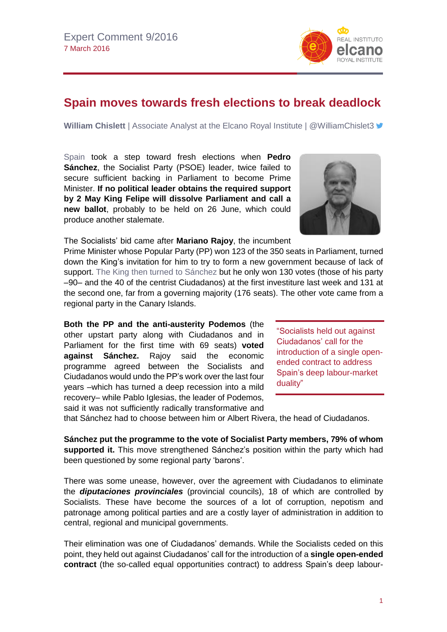## **Spain moves towards fresh elections to break deadlock**

**William Chislett** | Associate Analyst at the Elcano Royal Institute | @WilliamChislet3

[Spain](http://www.realinstitutoelcano.org/wps/portal/web/rielcano_es/publicacion?WCM_GLOBAL_CONTEXT=/elcano/elcano_es/publicaciones/chislett-new-course-for-spain-beyond-crisis) took a step toward fresh elections when **Pedro Sánchez**, the Socialist Party (PSOE) leader, twice failed to secure sufficient backing in Parliament to become Prime Minister. **If no political leader obtains the required support by 2 May King Felipe will dissolve Parliament and call a new ballot**, probably to be held on 26 June, which could produce another stalemate.

The Socialists' bid came after **Mariano Rajoy**, the incumbent

Prime Minister whose Popular Party (PP) won 123 of the 350 seats in Parliament, turned down the King's invitation for him to try to form a new government because of lack of support. The King then turned to [Sánchez](http://www.realinstitutoelcano.org/wps/wcm/connect/80e590004bc9c0feb6c2bee712ffc684/125_InsideSpain_ElcanoNewsletter.pdf?MOD=AJPERES&CACHEID=80e590004bc9c0feb6c2bee712ffc684) but he only won 130 votes (those of his party –90– and the 40 of the centrist Ciudadanos) at the first investiture last week and 131 at the second one, far from a governing majority (176 seats). The other vote came from a regional party in the Canary Islands.

**Both the PP and the anti-austerity Podemos** (the other upstart party along with Ciudadanos and in Parliament for the first time with 69 seats) **voted against Sánchez.** Rajoy said the economic programme agreed between the Socialists and Ciudadanos would undo the PP's work over the last four years –which has turned a deep recession into a mild recovery– while Pablo Iglesias, the leader of Podemos, said it was not sufficiently radically transformative and

Ciudadanos' call for the introduction of a single openended contract to address Spain's deep labour-market duality"

"Socialists held out against

that Sánchez had to choose between him or Albert Rivera, the head of Ciudadanos.

**Sánchez put the programme to the vote of Socialist Party members, 79% of whom supported it.** This move strengthened Sánchez's position within the party which had been questioned by some regional party 'barons'.

There was some unease, however, over the agreement with Ciudadanos to eliminate the *diputaciones provinciales* (provincial councils), 18 of which are controlled by Socialists. These have become the sources of a lot of corruption, nepotism and patronage among political parties and are a costly layer of administration in addition to central, regional and municipal governments.

Their elimination was one of Ciudadanos' demands. While the Socialists ceded on this point, they held out against Ciudadanos' call for the introduction of a **single open-ended contract** (the so-called equal opportunities contract) to address Spain's deep labour-



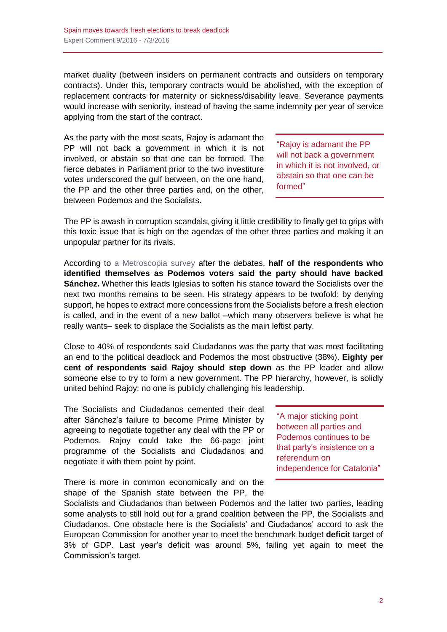market duality (between insiders on permanent contracts and outsiders on temporary contracts). Under this, temporary contracts would be abolished, with the exception of replacement contracts for maternity or sickness/disability leave. Severance payments would increase with seniority, instead of having the same indemnity per year of service applying from the start of the contract.

As the party with the most seats, Rajoy is adamant the PP will not back a government in which it is not involved, or abstain so that one can be formed. The fierce debates in Parliament prior to the two investiture votes underscored the gulf between, on the one hand, the PP and the other three parties and, on the other, between Podemos and the Socialists.

"Rajoy is adamant the PP will not back a government in which it is not involved, or abstain so that one can be formed"

The PP is awash in corruption scandals, giving it little credibility to finally get to grips with this toxic issue that is high on the agendas of the other three parties and making it an unpopular partner for its rivals.

According to a [Metroscopia](http://politica.elpais.com/politica/2016/03/05/actualidad/1457200239_512147.html) survey after the debates, **half of the respondents who identified themselves as Podemos voters said the party should have backed Sánchez.** Whether this leads Iglesias to soften his stance toward the Socialists over the next two months remains to be seen. His strategy appears to be twofold: by denying support, he hopes to extract more concessions from the Socialists before a fresh election is called, and in the event of a new ballot –which many observers believe is what he really wants– seek to displace the Socialists as the main leftist party.

Close to 40% of respondents said Ciudadanos was the party that was most facilitating an end to the political deadlock and Podemos the most obstructive (38%). **Eighty per cent of respondents said Rajoy should step down** as the PP leader and allow someone else to try to form a new government. The PP hierarchy, however, is solidly united behind Rajoy: no one is publicly challenging his leadership.

The Socialists and Ciudadanos cemented their deal after Sánchez's failure to become Prime Minister by agreeing to negotiate together any deal with the PP or Podemos. Rajoy could take the 66-page joint programme of the Socialists and Ciudadanos and negotiate it with them point by point.

There is more in common economically and on the shape of the Spanish state between the PP, the "A major sticking point between all parties and Podemos continues to be that party's insistence on a referendum on independence for Catalonia"

Socialists and Ciudadanos than between Podemos and the latter two parties, leading some analysts to still hold out for a grand coalition between the PP, the Socialists and Ciudadanos. One obstacle here is the Socialists' and Ciudadanos' accord to ask the European Commission for another year to meet the benchmark budget **deficit** target of 3% of GDP. Last year's deficit was around 5%, failing yet again to meet the Commission's target.